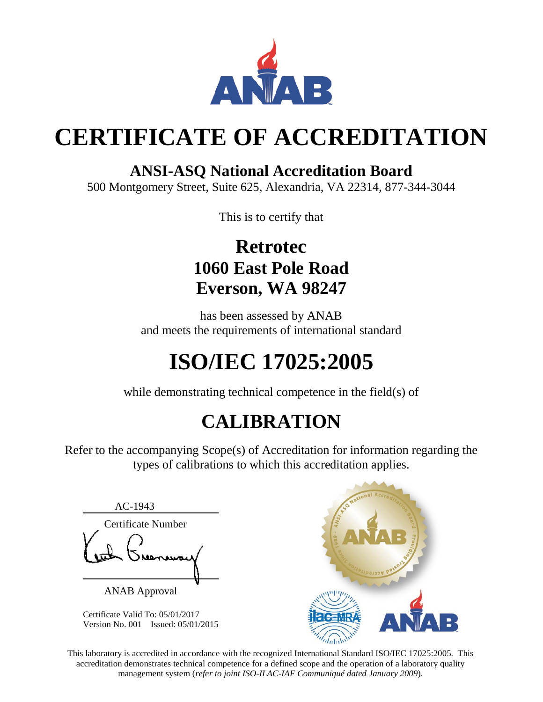

# **CERTIFICATE OF ACCREDITATION**

### **ANSI-ASQ National Accreditation Board**

500 Montgomery Street, Suite 625, Alexandria, VA 22314, 877-344-3044

This is to certify that

## **Retrotec 1060 East Pole Road Everson, WA 98247**

has been assessed by ANAB and meets the requirements of international standard

# **ISO/IEC 17025:2005**

while demonstrating technical competence in the field(s) of

## **CALIBRATION**

Refer to the accompanying Scope(s) of Accreditation for information regarding the types of calibrations to which this accreditation applies.

AC-1943 Certificate Number

ANAB Approval

Certificate Valid To: 05/01/2017 Version No. 001 Issued: 05/01/2015



This laboratory is accredited in accordance with the recognized International Standard ISO/IEC 17025:2005. This accreditation demonstrates technical competence for a defined scope and the operation of a laboratory quality management system (*refer to joint ISO-ILAC-IAF Communiqué dated January 2009*).